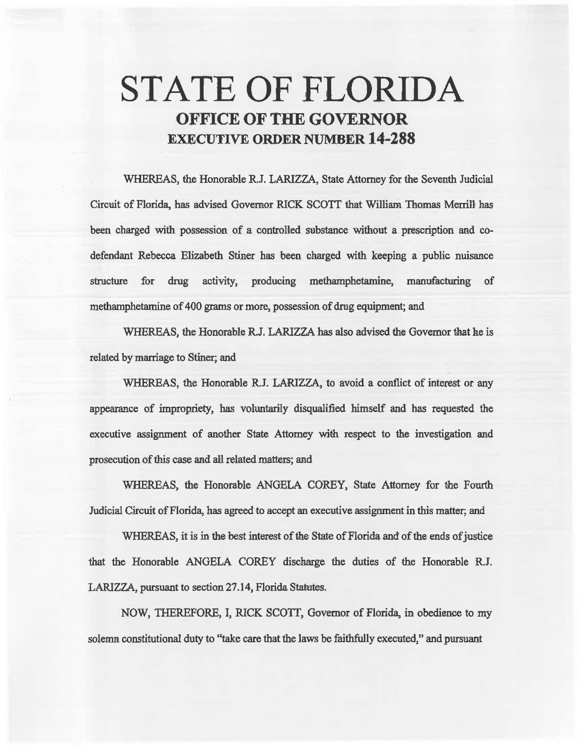# STATE OF FLORIDA OFFICE OF THE GOVERNOR EXECUTIVE ORDER NUMBER 14-288

WHEREAS, the Honorable R.J. LARIZZA, State Attorney for the Seventh Judicial Circuit of Florida, has advised Governor RICK SCOIT that William Thomas Merrill has been charged with possession of a controlled substance without a prescription and codefendant Rebecca Elizabeth Stiner has been charged with keeping a public nuisance structure for drug activity, producing methamphetamine, manufacturing of methamphetamine of 400 grams or more, possession of dreg equipment; and

WHEREAS, the Honorable R.J. LARIZZA has also advised the Govemor that he is related by marriage to Stiner; and

WHEREAS, the Honorable R.J. LARIZZA, to avoid a conflict of interest or any appearance of impropriety, has voluntarily disqualified himself and has requested the executive assignment of another State Attorney with respect to the investigation and prosecution of this case and all related matters; and

WHEREAS, the Honorable ANGELA COREY, State Attorney for the Fourth Judicial Circuit of Florida, has agreed to accept an executive assignment in this matter; and

WHEREAS, it is in the best interest of the State of Florida and of the ends of justice that the Honorable ANGELA COREY discharge the duties of the Honorable RJ. LARIZZA, pursuant to section 27 .14, Florida Statutes.

NOW, TIIEREFORE, I, RICK SCOIT, Governor of Florida, in obedience to my solemn constitutional duty to "take care that the laws be faithfully executed," and pursuant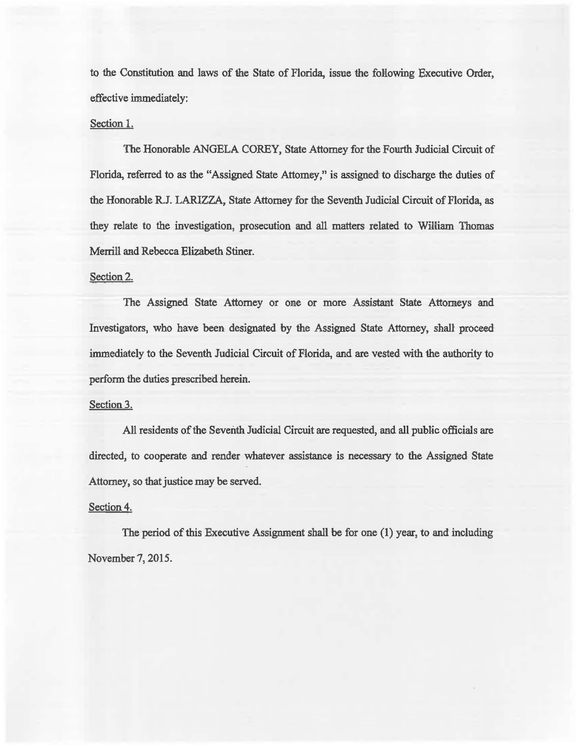to the Constitution and laws of the State of Florida, issue the following Executive Order, effective immediately:

### Section 1.

The Honorable ANGELA COREY, State Attorney for the Fourth Judicial Circuit of Florida, referred to as the "Assigned State Attorney," is assigned to discharge the duties of the Honorable R.J. LARIZZA, State Attorney for the Seventh Judicial Circuit of Florida, as they relate to the investigation, prosecution and all matters related to William Thomas Merrill and Rebecca Elizabeth Stiner.

## Section 2.

The Assigned State Attorney or one or more Assistant State Attorneys and Investigators, who have been designated by the Assigned State Attorney, shall proceed immediately to the Seventh Judicial Circuit of Florida, and are vested with the authority to perform the duties prescribed herein.

### Section 3.

All residents of the Seventh Judicial Circuit are requested, and all public officials are directed, to cooperate and render whatever assistance is necessary to the Assigned State Attorney, so that justice may be served.

## Section 4.

The period of this Executive Assignment shall be for one  $(1)$  year, to and including. November 7, 2015.